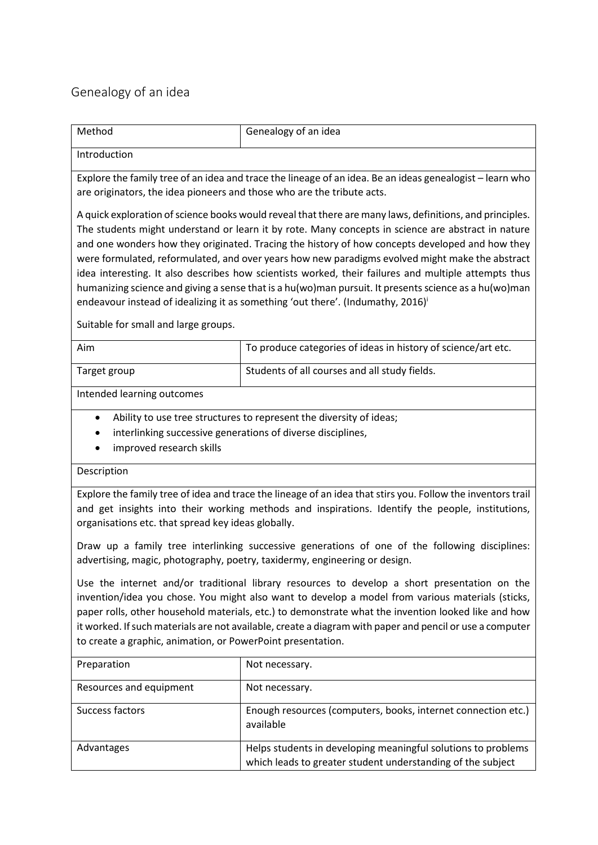## Genealogy of an idea

| Method                                                                                                                                                                                                                                                                                                                                                                                                                                                                                                                                                                                                                                                                                                                                                                       | Genealogy of an idea                                          |  |
|------------------------------------------------------------------------------------------------------------------------------------------------------------------------------------------------------------------------------------------------------------------------------------------------------------------------------------------------------------------------------------------------------------------------------------------------------------------------------------------------------------------------------------------------------------------------------------------------------------------------------------------------------------------------------------------------------------------------------------------------------------------------------|---------------------------------------------------------------|--|
| Introduction                                                                                                                                                                                                                                                                                                                                                                                                                                                                                                                                                                                                                                                                                                                                                                 |                                                               |  |
| Explore the family tree of an idea and trace the lineage of an idea. Be an ideas genealogist – learn who<br>are originators, the idea pioneers and those who are the tribute acts.                                                                                                                                                                                                                                                                                                                                                                                                                                                                                                                                                                                           |                                                               |  |
| A quick exploration of science books would reveal that there are many laws, definitions, and principles.<br>The students might understand or learn it by rote. Many concepts in science are abstract in nature<br>and one wonders how they originated. Tracing the history of how concepts developed and how they<br>were formulated, reformulated, and over years how new paradigms evolved might make the abstract<br>idea interesting. It also describes how scientists worked, their failures and multiple attempts thus<br>humanizing science and giving a sense that is a hu(wo)man pursuit. It presents science as a hu(wo)man<br>endeavour instead of idealizing it as something 'out there'. (Indumathy, 2016) <sup>i</sup><br>Suitable for small and large groups. |                                                               |  |
| Aim                                                                                                                                                                                                                                                                                                                                                                                                                                                                                                                                                                                                                                                                                                                                                                          | To produce categories of ideas in history of science/art etc. |  |
| Target group                                                                                                                                                                                                                                                                                                                                                                                                                                                                                                                                                                                                                                                                                                                                                                 | Students of all courses and all study fields.                 |  |
| Intended learning outcomes                                                                                                                                                                                                                                                                                                                                                                                                                                                                                                                                                                                                                                                                                                                                                   |                                                               |  |
| Ability to use tree structures to represent the diversity of ideas;<br>$\bullet$<br>interlinking successive generations of diverse disciplines,<br>٠<br>improved research skills                                                                                                                                                                                                                                                                                                                                                                                                                                                                                                                                                                                             |                                                               |  |
| Description                                                                                                                                                                                                                                                                                                                                                                                                                                                                                                                                                                                                                                                                                                                                                                  |                                                               |  |
| Explore the family tree of idea and trace the lineage of an idea that stirs you. Follow the inventors trail<br>and get insights into their working methods and inspirations. Identify the people, institutions,<br>organisations etc. that spread key ideas globally.                                                                                                                                                                                                                                                                                                                                                                                                                                                                                                        |                                                               |  |
| Draw up a family tree interlinking successive generations of one of the following disciplines:<br>advertising, magic, photography, poetry, taxidermy, engineering or design.                                                                                                                                                                                                                                                                                                                                                                                                                                                                                                                                                                                                 |                                                               |  |
| Use the internet and/or traditional library resources to develop a short presentation on the<br>invention/idea you chose. You might also want to develop a model from various materials (sticks,<br>paper rolls, other household materials, etc.) to demonstrate what the invention looked like and how<br>it worked. If such materials are not available, create a diagram with paper and pencil or use a computer<br>to create a graphic, animation, or PowerPoint presentation.                                                                                                                                                                                                                                                                                           |                                                               |  |
| <b>Dranaration</b>                                                                                                                                                                                                                                                                                                                                                                                                                                                                                                                                                                                                                                                                                                                                                           | Not necessary                                                 |  |

| Preparation             | Not necessary.                                                                                                               |
|-------------------------|------------------------------------------------------------------------------------------------------------------------------|
| Resources and equipment | Not necessary.                                                                                                               |
| Success factors         | Enough resources (computers, books, internet connection etc.)<br>available                                                   |
| Advantages              | Helps students in developing meaningful solutions to problems<br>which leads to greater student understanding of the subject |